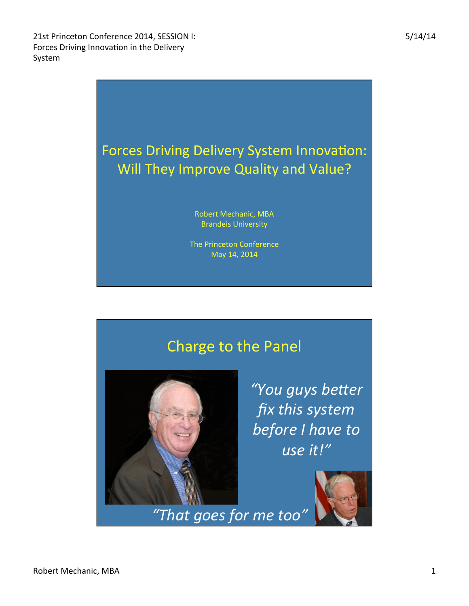

## Charge to the Panel



"You guys better fix this system **before** I have to *use it!"* 

*"That goes for me too"*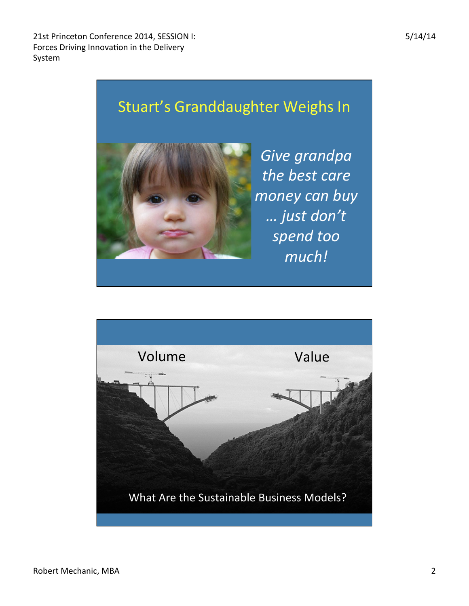21st Princeton Conference 2014, SESSION I: Forces Driving Innovation in the Delivery System 





Give grandpa the **best** care *money can buy … just don't spend too much!* 

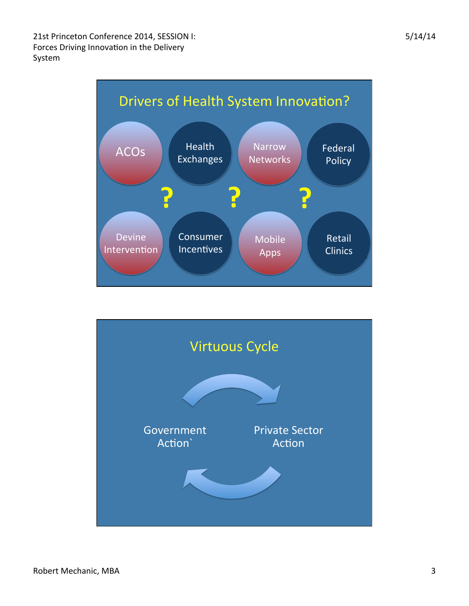